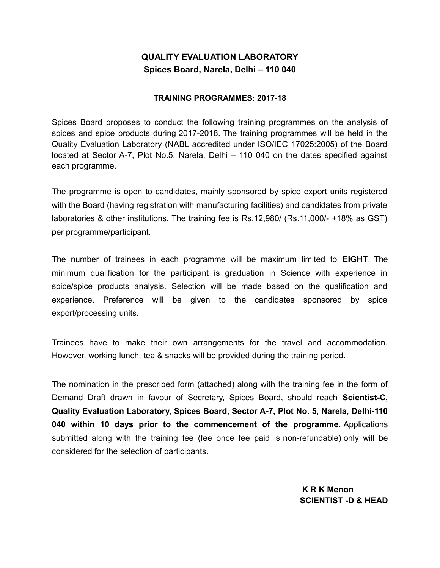## **QUALITY EVALUATION LABORATORY Spices Board, Narela, Delhi – 110 040**

#### **TRAINING PROGRAMMES: 2017-18**

Spices Board proposes to conduct the following training programmes on the analysis of spices and spice products during 2017-2018. The training programmes will be held in the Quality Evaluation Laboratory (NABL accredited under ISO/IEC 17025:2005) of the Board located at Sector A-7, Plot No.5, Narela, Delhi – 110 040 on the dates specified against each programme.

The programme is open to candidates, mainly sponsored by spice export units registered with the Board (having registration with manufacturing facilities) and candidates from private laboratories & other institutions. The training fee is Rs.12,980/ (Rs.11,000/- +18% as GST) per programme/participant.

The number of trainees in each programme will be maximum limited to **EIGHT**. The minimum qualification for the participant is graduation in Science with experience in spice/spice products analysis. Selection will be made based on the qualification and experience. Preference will be given to the candidates sponsored by spice export/processing units.

Trainees have to make their own arrangements for the travel and accommodation. However, working lunch, tea & snacks will be provided during the training period.

The nomination in the prescribed form (attached) along with the training fee in the form of Demand Draft drawn in favour of Secretary, Spices Board, should reach **Scientist-C, Quality Evaluation Laboratory, Spices Board, Sector A-7, Plot No. 5, Narela, Delhi-110 040 within 10 days prior to the commencement of the programme.** Applications submitted along with the training fee (fee once fee paid is non-refundable) only will be considered for the selection of participants.

> **K R K Menon SCIENTIST -D & HEAD**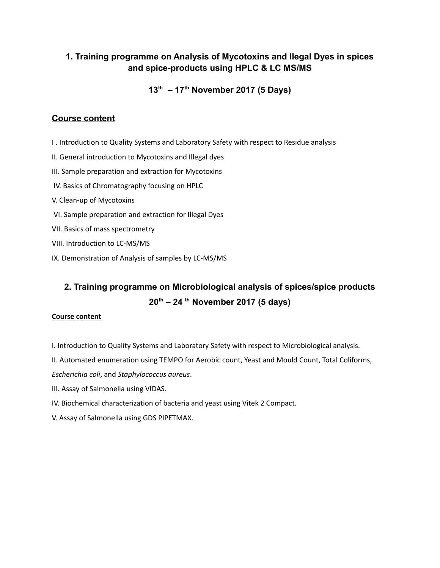### **1. Training programme on Analysis of Mycotoxins and Ilegal Dyes in spices and spice-products using HPLC & LC MS/MS**

**13th – 17th November 2017 (5 Days)**

### **Course content**

- I . Introduction to Quality Systems and Laboratory Safety with respect to Residue analysis
- II. General introduction to Mycotoxins and Illegal dyes
- III. Sample preparation and extraction for Mycotoxins
- IV. Basics of Chromatography focusing on HPLC
- V. Clean-up of Mycotoxins
- VI. Sample preparation and extraction for Illegal Dyes
- VII. Basics of mass spectrometry
- VIII. Introduction to LC-MS/MS
- IX. Demonstration of Analysis of samples by LC-MS/MS

# **2. Training programme on Microbiological analysis of spices/spice products 20th – 24 th November 2017 (5 days)**

#### **Course content**

- I. Introduction to Quality Systems and Laboratory Safety with respect to Microbiological analysis.
- II. Automated enumeration using TEMPO for Aerobic count, Yeast and Mould Count, Total Coliforms,
- *Escherichia coli*, and *Staphylococcus aureus*.
- III. Assay of Salmonella using VIDAS.
- IV. Biochemical characterization of bacteria and yeast using Vitek 2 Compact.
- V. Assay of Salmonella using GDS PIPETMAX.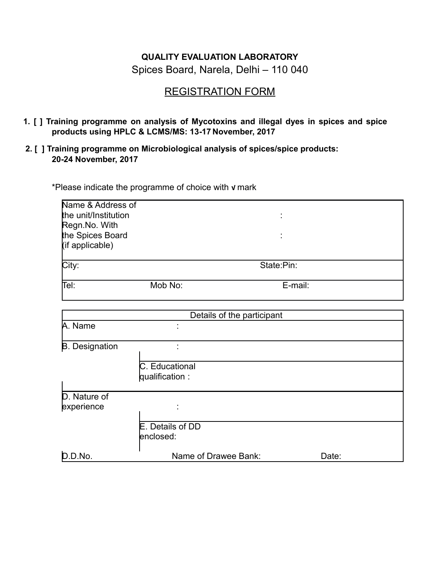# **QUALITY EVALUATION LABORATORY**

Spices Board, Narela, Delhi – 110 040

# REGISTRATION FORM

- **1. [ ] Training programme on analysis of Mycotoxins and illegal dyes in spices and spice products using HPLC & LCMS/MS: 13-17 November, 2017**
- **2. [ ] Training programme on Microbiological analysis of spices/spice products: 20-24 November, 2017**

\*Please indicate the programme of choice with **√** mark

| Name & Address of     |                      |                            |         |  |
|-----------------------|----------------------|----------------------------|---------|--|
| the unit/Institution  |                      |                            |         |  |
| Regn.No. With         |                      |                            |         |  |
| the Spices Board      |                      |                            |         |  |
| (if applicable)       |                      |                            |         |  |
|                       |                      |                            |         |  |
| City:                 | State:Pin:           |                            |         |  |
|                       |                      |                            |         |  |
| Tel:<br>Mob No:       |                      |                            | E-mail: |  |
|                       |                      |                            |         |  |
|                       |                      | Details of the participant |         |  |
| A. Name               |                      |                            |         |  |
| <b>B.</b> Designation |                      |                            |         |  |
|                       |                      |                            |         |  |
|                       | C. Educational       |                            |         |  |
|                       | qualification:       |                            |         |  |
| D. Nature of          |                      |                            |         |  |
| experience            |                      |                            |         |  |
|                       |                      |                            |         |  |
|                       | E. Details of DD     |                            |         |  |
|                       | enclosed:            |                            |         |  |
| D.D.No.               | Name of Drawee Bank: |                            | Date:   |  |